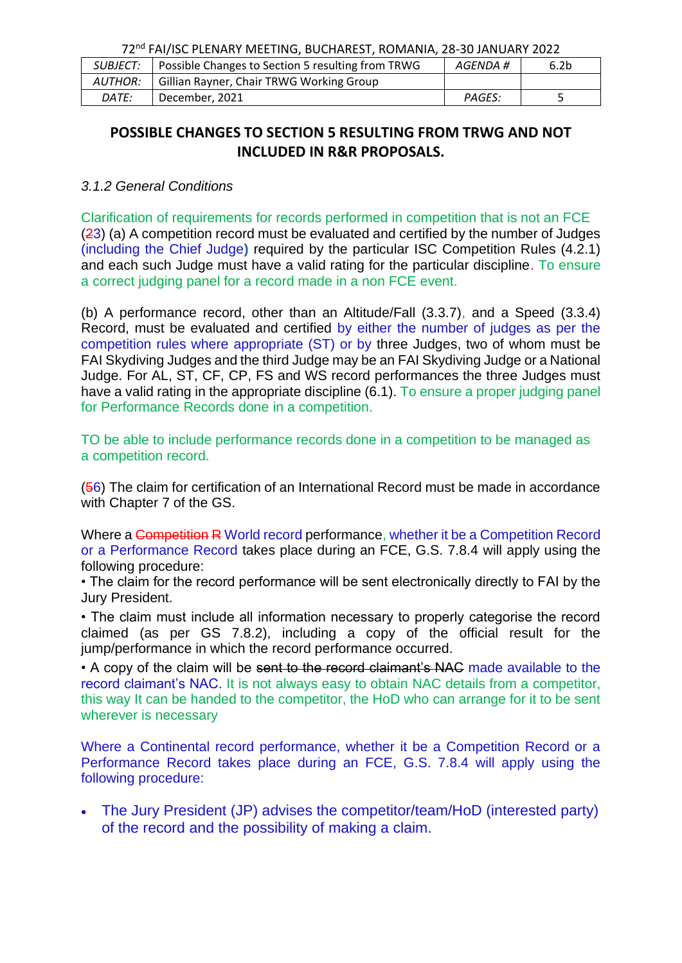| <i>SUBJECT:</i> | Possible Changes to Section 5 resulting from TRWG | AGENDA #      | 6.2 <sub>b</sub> |
|-----------------|---------------------------------------------------|---------------|------------------|
| <b>AUTHOR:</b>  | Gillian Rayner, Chair TRWG Working Group          |               |                  |
| DATE:           | December, 2021                                    | <b>PAGES:</b> |                  |

# **POSSIBLE CHANGES TO SECTION 5 RESULTING FROM TRWG AND NOT INCLUDED IN R&R PROPOSALS.**

#### *3.1.2 General Conditions*

Clarification of requirements for records performed in competition that is not an FCE (23) (a) A competition record must be evaluated and certified by the number of Judges (including the Chief Judge**)** required by the particular ISC Competition Rules (4.2.1) and each such Judge must have a valid rating for the particular discipline. To ensure a correct judging panel for a record made in a non FCE event.

(b) A performance record, other than an Altitude/Fall (3.3.7), and a Speed (3.3.4) Record, must be evaluated and certified by either the number of judges as per the competition rules where appropriate (ST) or by three Judges, two of whom must be FAI Skydiving Judges and the third Judge may be an FAI Skydiving Judge or a National Judge. For AL, ST, CF, CP, FS and WS record performances the three Judges must have a valid rating in the appropriate discipline (6.1). To ensure a proper judging panel for Performance Records done in a competition.

TO be able to include performance records done in a competition to be managed as a competition record.

(56) The claim for certification of an International Record must be made in accordance with Chapter 7 of the GS.

Where a Competition R World record performance, whether it be a Competition Record or a Performance Record takes place during an FCE, G.S. 7.8.4 will apply using the following procedure:

• The claim for the record performance will be sent electronically directly to FAI by the Jury President.

• The claim must include all information necessary to properly categorise the record claimed (as per GS 7.8.2), including a copy of the official result for the jump/performance in which the record performance occurred.

• A copy of the claim will be sent to the record claimant's NAC made available to the record claimant's NAC. It is not always easy to obtain NAC details from a competitor, this way It can be handed to the competitor, the HoD who can arrange for it to be sent wherever is necessary

Where a Continental record performance, whether it be a Competition Record or a Performance Record takes place during an FCE, G.S. 7.8.4 will apply using the following procedure:

• The Jury President (JP) advises the competitor/team/HoD (interested party) of the record and the possibility of making a claim.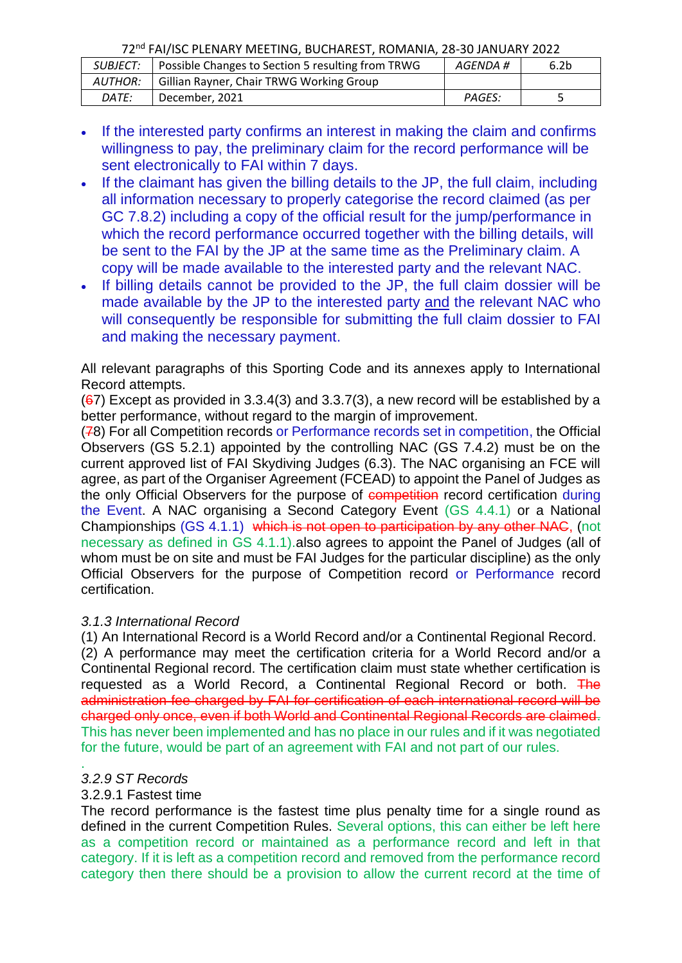| <b>SUBJECT:</b> | Possible Changes to Section 5 resulting from TRWG | AGENDA # | 6.2 <sub>b</sub> |
|-----------------|---------------------------------------------------|----------|------------------|
| AUTHOR:         | Gillian Rayner, Chair TRWG Working Group          |          |                  |
| DATE:           | December, 2021                                    | PAGES:   |                  |

- If the interested party confirms an interest in making the claim and confirms willingness to pay, the preliminary claim for the record performance will be sent electronically to FAI within 7 days.
- If the claimant has given the billing details to the JP, the full claim, including all information necessary to properly categorise the record claimed (as per GC 7.8.2) including a copy of the official result for the jump/performance in which the record performance occurred together with the billing details, will be sent to the FAI by the JP at the same time as the Preliminary claim. A copy will be made available to the interested party and the relevant NAC.
- If billing details cannot be provided to the JP, the full claim dossier will be made available by the JP to the interested party and the relevant NAC who will consequently be responsible for submitting the full claim dossier to FAI and making the necessary payment.

All relevant paragraphs of this Sporting Code and its annexes apply to International Record attempts.

 $(67)$  Except as provided in 3.3.4(3) and 3.3.7(3), a new record will be established by a better performance, without regard to the margin of improvement.

(78) For all Competition records or Performance records set in competition, the Official Observers (GS 5.2.1) appointed by the controlling NAC (GS 7.4.2) must be on the current approved list of FAI Skydiving Judges (6.3). The NAC organising an FCE will agree, as part of the Organiser Agreement (FCEAD) to appoint the Panel of Judges as the only Official Observers for the purpose of competition record certification during the Event. A NAC organising a Second Category Event (GS 4.4.1) or a National Championships (GS 4.1.1) which is not open to participation by any other NAC, (not necessary as defined in GS 4.1.1).also agrees to appoint the Panel of Judges (all of whom must be on site and must be FAI Judges for the particular discipline) as the only Official Observers for the purpose of Competition record or Performance record certification.

## *3.1.3 International Record*

(1) An International Record is a World Record and/or a Continental Regional Record.

(2) A performance may meet the certification criteria for a World Record and/or a Continental Regional record. The certification claim must state whether certification is requested as a World Record, a Continental Regional Record or both. The administration fee charged by FAI for certification of each international record will be charged only once, even if both World and Continental Regional Records are claimed. This has never been implemented and has no place in our rules and if it was negotiated for the future, would be part of an agreement with FAI and not part of our rules.

#### . *3.2.9 ST Records*

#### 3.2.9.1 Fastest time

The record performance is the fastest time plus penalty time for a single round as defined in the current Competition Rules. Several options, this can either be left here as a competition record or maintained as a performance record and left in that category. If it is left as a competition record and removed from the performance record category then there should be a provision to allow the current record at the time of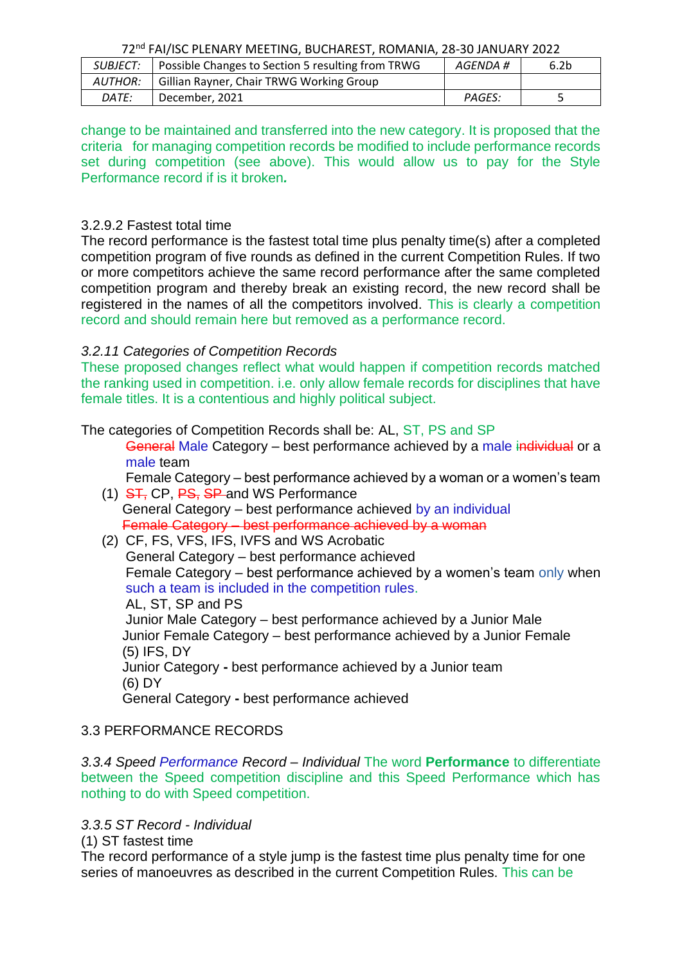| <i>SUBJECT:</i> | Possible Changes to Section 5 resulting from TRWG | AGENDA #      | 6.2 <sub>b</sub> |  |
|-----------------|---------------------------------------------------|---------------|------------------|--|
| <b>AUTHOR:</b>  | Gillian Rayner, Chair TRWG Working Group          |               |                  |  |
| DATE:           | December, 2021                                    | <b>PAGES:</b> |                  |  |

change to be maintained and transferred into the new category. It is proposed that the criteria for managing competition records be modified to include performance records set during competition (see above). This would allow us to pay for the Style Performance record if is it broken*.* 

#### 3.2.9.2 Fastest total time

The record performance is the fastest total time plus penalty time(s) after a completed competition program of five rounds as defined in the current Competition Rules. If two or more competitors achieve the same record performance after the same completed competition program and thereby break an existing record, the new record shall be registered in the names of all the competitors involved. This is clearly a competition record and should remain here but removed as a performance record.

#### *3.2.11 Categories of Competition Records*

These proposed changes reflect what would happen if competition records matched the ranking used in competition. i.e. only allow female records for disciplines that have female titles. It is a contentious and highly political subject.

#### The categories of Competition Records shall be: AL, ST, PS and SP

General Male Category – best performance achieved by a male individual or a male team

Female Category – best performance achieved by a woman or a women's team

(1) ST, CP, PS, SP and WS Performance General Category – best performance achieved by an individual Female Category – best performance achieved by a woman

(2) CF, FS, VFS, IFS, IVFS and WS Acrobatic General Category – best performance achieved Female Category – best performance achieved by a women's team only when such a team is included in the competition rules. AL, ST, SP and PS Junior Male Category – best performance achieved by a Junior Male Junior Female Category – best performance achieved by a Junior Female (5) IFS, DY Junior Category **-** best performance achieved by a Junior team (6) DY General Category **-** best performance achieved

#### 3.3 PERFORMANCE RECORDS

*3.3.4 Speed Performance Record – Individual* The word **Performance** to differentiate between the Speed competition discipline and this Speed Performance which has nothing to do with Speed competition.

## *3.3.5 ST Record - Individual*

(1) ST fastest time

The record performance of a style jump is the fastest time plus penalty time for one series of manoeuvres as described in the current Competition Rules. This can be